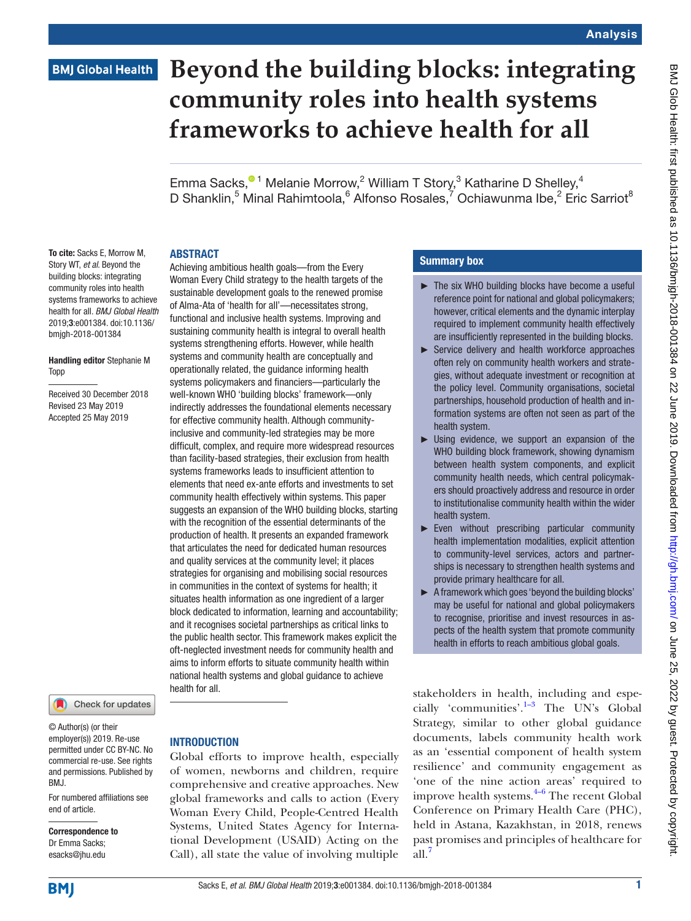# Analysis

# **BMJ Global Health**

# **Beyond the building blocks: integrating community roles into health systems frameworks to achieve health for all**

Emma Sacks[,](http://orcid.org/0000-0003-0743-7208)<sup>® 1</sup> Melanie Morrow,<sup>2</sup> William T Story,<sup>3</sup> Katharine D Shelley,<sup>4</sup> D Shanklin,<sup>5</sup> Minal Rahimtoola,<sup>6</sup> Alfonso Rosales,<sup>7</sup> Ochiawunma Ibe,<sup>2</sup> Eric Sarriot<sup>8</sup>

#### **ABSTRACT**

Achieving ambitious health goals—from the Every Woman Every Child strategy to the health targets of the sustainable development goals to the renewed promise of Alma-Ata of 'health for all'—necessitates strong, functional and inclusive health systems. Improving and sustaining community health is integral to overall health systems strengthening efforts. However, while health systems and community health are conceptually and operationally related, the guidance informing health systems policymakers and financiers—particularly the well-known WHO 'building blocks' framework—only indirectly addresses the foundational elements necessary for effective community health. Although communityinclusive and community-led strategies may be more difficult, complex, and require more widespread resources than facility-based strategies, their exclusion from health systems frameworks leads to insufficient attention to elements that need ex-ante efforts and investments to set community health effectively within systems. This paper suggests an expansion of the WHO building blocks, starting with the recognition of the essential determinants of the production of health. It presents an expanded framework that articulates the need for dedicated human resources and quality services at the community level; it places strategies for organising and mobilising social resources in communities in the context of systems for health; it situates health information as one ingredient of a larger block dedicated to information, learning and accountability; and it recognises societal partnerships as critical links to the public health sector. This framework makes explicit the oft-neglected investment needs for community health and aims to inform efforts to situate community health within national health systems and global guidance to achieve

To cite: Sacks E, Morrow M, Story WT, *et al*. Beyond the building blocks: integrating community roles into health systems frameworks to achieve health for all. *BMJ Global Health* 2019;3:e001384. doi:10.1136/ bmjgh-2018-001384

#### Handling editor Stephanie M Topp

Received 30 December 2018 Revised 23 May 2019 Accepted 25 May 2019



© Author(s) (or their employer(s)) 2019. Re-use permitted under CC BY-NC. No commercial re-use. See rights and permissions. Published by BMJ.

For numbered affiliations see end of article.

Correspondence to Dr Emma Sacks; esacks@jhu.edu

#### **INTRODUCTION**

health for all.

Global efforts to improve health, especially of women, newborns and children, require comprehensive and creative approaches. New global frameworks and calls to action (Every Woman Every Child, People-Centred Health Systems, United States Agency for International Development (USAID) Acting on the Call), all state the value of involving multiple

### Summary box

- $\blacktriangleright$  The six WHO building blocks have become a useful reference point for national and global policymakers; however, critical elements and the dynamic interplay required to implement community health effectively are insufficiently represented in the building blocks.
- ► Service delivery and health workforce approaches often rely on community health workers and strategies, without adequate investment or recognition at the policy level. Community organisations, societal partnerships, household production of health and information systems are often not seen as part of the health system.
- $\triangleright$  Using evidence, we support an expansion of the WHO building block framework, showing dynamism between health system components, and explicit community health needs, which central policymakers should proactively address and resource in order to institutionalise community health within the wider health system.
- ► Even without prescribing particular community health implementation modalities, explicit attention to community-level services, actors and partnerships is necessary to strengthen health systems and provide primary healthcare for all.
- ► A framework which goes 'beyond the building blocks' may be useful for national and global policymakers to recognise, prioritise and invest resources in aspects of the health system that promote community health in efforts to reach ambitious global goals.

stakeholders in health, including and especially 'communities'[.1–3](#page-9-0) The UN's Global Strategy, similar to other global guidance documents, labels community health work as an 'essential component of health system resilience' and community engagement as 'one of the nine action areas' required to improve health systems. $4-6$  The recent Global Conference on Primary Health Care (PHC), held in Astana, Kazakhstan, in 2018, renews past promises and principles of healthcare for all.[7](#page-9-2)

**BMJ**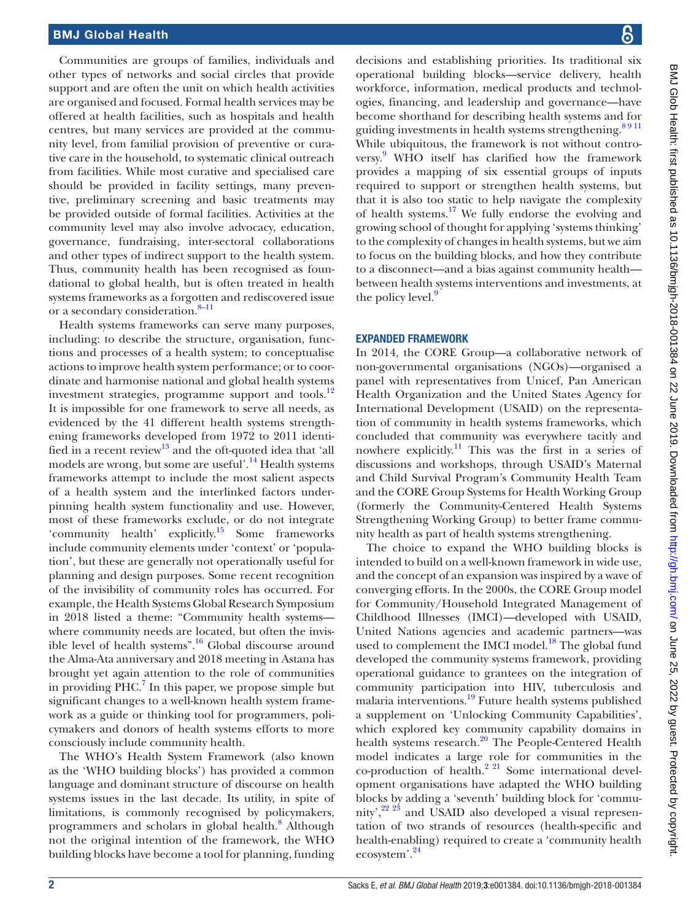Communities are groups of families, individuals and other types of networks and social circles that provide support and are often the unit on which health activities are organised and focused. Formal health services may be offered at health facilities, such as hospitals and health centres, but many services are provided at the community level, from familial provision of preventive or curative care in the household, to systematic clinical outreach from facilities. While most curative and specialised care should be provided in facility settings, many preventive, preliminary screening and basic treatments may be provided outside of formal facilities. Activities at the community level may also involve advocacy, education, governance, fundraising, inter-sectoral collaborations and other types of indirect support to the health system. Thus, community health has been recognised as foundational to global health, but is often treated in health systems frameworks as a forgotten and rediscovered issue or a secondary consideration.<sup>8–11</sup>

Health systems frameworks can serve many purposes, including: to describe the structure, organisation, functions and processes of a health system; to conceptualise actions to improve health system performance; or to coordinate and harmonise national and global health systems investment strategies, programme support and tools.<sup>12</sup> It is impossible for one framework to serve all needs, as evidenced by the 41 different health systems strengthening frameworks developed from 1972 to 2011 identified in a recent review<sup>13</sup> and the oft-quoted idea that 'all models are wrong, but some are useful'.<sup>14</sup> Health systems frameworks attempt to include the most salient aspects of a health system and the interlinked factors underpinning health system functionality and use. However, most of these frameworks exclude, or do not integrate 'community health' explicitly.[15](#page-9-7) Some frameworks include community elements under 'context' or 'population', but these are generally not operationally useful for planning and design purposes. Some recent recognition of the invisibility of community roles has occurred. For example, the Health Systems Global Research Symposium in 2018 listed a theme: "Community health systems where community needs are located, but often the invis-ible level of health systems".<sup>[16](#page-9-8)</sup> Global discourse around the Alma-Ata anniversary and 2018 meeting in Astana has brought yet again attention to the role of communities in providing PHC.<sup>7</sup> In this paper, we propose simple but significant changes to a well-known health system framework as a guide or thinking tool for programmers, policymakers and donors of health systems efforts to more consciously include community health.

The WHO's Health System Framework (also known as the 'WHO building blocks') has provided a common language and dominant structure of discourse on health systems issues in the last decade. Its utility, in spite of limitations, is commonly recognised by policymakers, programmers and scholars in global health.<sup>[8](#page-9-3)</sup> Although not the original intention of the framework, the WHO building blocks have become a tool for planning, funding

decisions and establishing priorities. Its traditional six operational building blocks—service delivery, health workforce, information, medical products and technologies, financing, and leadership and governance—have become shorthand for describing health systems and for guiding investments in health systems strengthening.<sup>8911</sup> While ubiquitous, the framework is not without controversy. [9](#page-9-9) WHO itself has clarified how the framework provides a mapping of six essential groups of inputs required to support or strengthen health systems, but that it is also too static to help navigate the complexity of health systems.[17](#page-9-10) We fully endorse the evolving and growing school of thought for applying 'systems thinking' to the complexity of changes in health systems, but we aim to focus on the building blocks, and how they contribute to a disconnect—and a bias against community health between health systems interventions and investments, at the policy level.<sup>[9](#page-9-9)</sup>

#### Expanded framework

In 2014, the CORE Group—a collaborative network of non-governmental organisations (NGOs)—organised a panel with representatives from Unicef, Pan American Health Organization and the United States Agency for International Development (USAID) on the representation of community in health systems frameworks, which concluded that community was everywhere tacitly and nowhere explicitly.<sup>[11](#page-9-11)</sup> This was the first in a series of discussions and workshops, through USAID's Maternal and Child Survival Program's Community Health Team and the CORE Group Systems for Health Working Group (formerly the Community-Centered Health Systems Strengthening Working Group) to better frame community health as part of health systems strengthening.

The choice to expand the WHO building blocks is intended to build on a well-known framework in wide use, and the concept of an expansion was inspired by a wave of converging efforts. In the 2000s, the CORE Group model for Community/Household Integrated Management of Childhood Illnesses (IMCI)—developed with USAID, United Nations agencies and academic partners—was used to complement the IMCI model.<sup>18</sup> The global fund developed the community systems framework, providing operational guidance to grantees on the integration of community participation into HIV, tuberculosis and malaria interventions.<sup>19</sup> Future health systems published a supplement on 'Unlocking Community Capabilities', which explored key community capability domains in health systems research.<sup>20</sup> The People-Centered Health model indicates a large role for communities in the co-production of health.<sup>2 21</sup> Some international development organisations have adapted the WHO building blocks by adding a 'seventh' building block for 'commu-nity',<sup>[22 23](#page-9-16)</sup> and USAID also developed a visual representation of two strands of resources (health-specific and health-enabling) required to create a 'community health ecosystem'.[24](#page-9-17)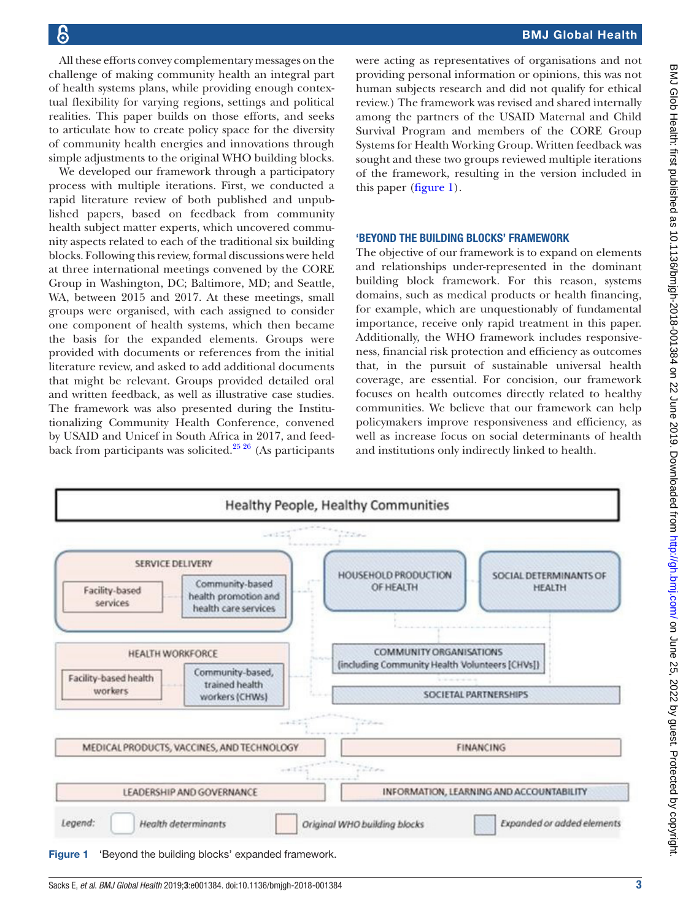All these efforts convey complementary messages on the challenge of making community health an integral part of health systems plans, while providing enough contextual flexibility for varying regions, settings and political realities. This paper builds on those efforts, and seeks to articulate how to create policy space for the diversity of community health energies and innovations through simple adjustments to the original WHO building blocks.

We developed our framework through a participatory process with multiple iterations. First, we conducted a rapid literature review of both published and unpublished papers, based on feedback from community health subject matter experts, which uncovered community aspects related to each of the traditional six building blocks. Following this review, formal discussions were held at three international meetings convened by the CORE Group in Washington, DC; Baltimore, MD; and Seattle, WA, between 2015 and 2017. At these meetings, small groups were organised, with each assigned to consider one component of health systems, which then became the basis for the expanded elements. Groups were provided with documents or references from the initial literature review, and asked to add additional documents that might be relevant. Groups provided detailed oral and written feedback, as well as illustrative case studies. The framework was also presented during the Institutionalizing Community Health Conference, convened by USAID and Unicef in South Africa in 2017, and feedback from participants was solicited.<sup>25</sup>  $^{26}$  (As participants were acting as representatives of organisations and not providing personal information or opinions, this was not human subjects research and did not qualify for ethical review.) The framework was revised and shared internally among the partners of the USAID Maternal and Child Survival Program and members of the CORE Group Systems for Health Working Group. Written feedback was sought and these two groups reviewed multiple iterations of the framework, resulting in the version included in this paper [\(figure](#page-2-0) 1).

#### 'Beyond the building blocks' framework

The objective of our framework is to expand on elements and relationships under-represented in the dominant building block framework. For this reason, systems domains, such as medical products or health financing, for example, which are unquestionably of fundamental importance, receive only rapid treatment in this paper. Additionally, the WHO framework includes responsiveness, financial risk protection and efficiency as outcomes that, in the pursuit of sustainable universal health coverage, are essential. For concision, our framework focuses on health outcomes directly related to healthy communities. We believe that our framework can help policymakers improve responsiveness and efficiency, as well as increase focus on social determinants of health and institutions only indirectly linked to health.

<span id="page-2-0"></span>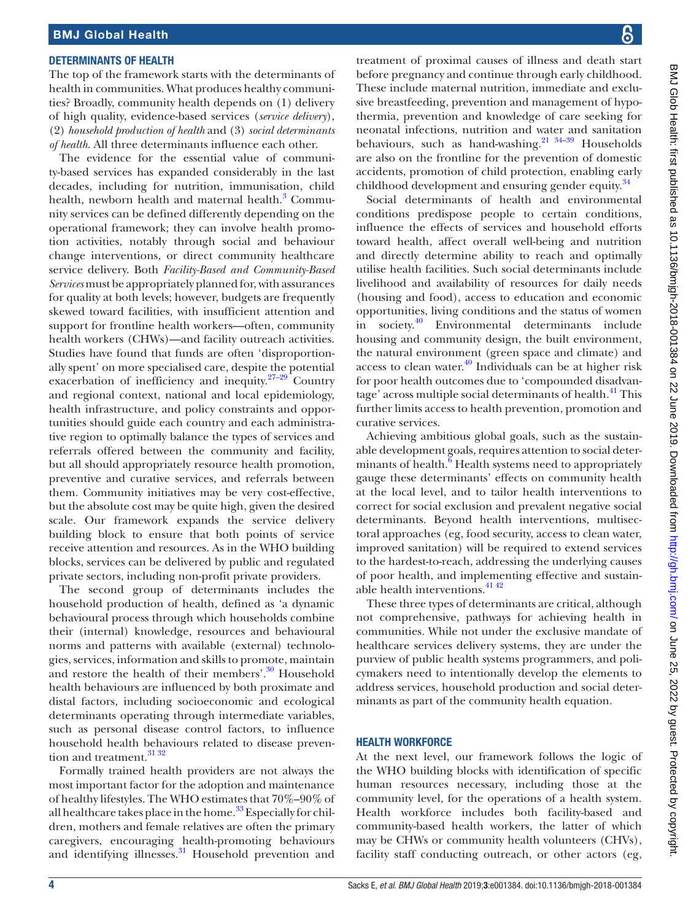#### Determinants of health

The top of the framework starts with the determinants of health in communities. What produces healthy communities? Broadly, community health depends on (1) delivery of high quality, evidence-based services (*service delivery*), (2) *household production of health* and (3) *social determinants of health*. All three determinants influence each other.

The evidence for the essential value of community-based services has expanded considerably in the last decades, including for nutrition, immunisation, child health, newborn health and maternal health.<sup>[3](#page-9-19)</sup> Community services can be defined differently depending on the operational framework; they can involve health promotion activities, notably through social and behaviour change interventions, or direct community healthcare service delivery. Both *Facility-Based and Community-Based Services* must be appropriately planned for, with assurances for quality at both levels; however, budgets are frequently skewed toward facilities, with insufficient attention and support for frontline health workers—often, community health workers (CHWs)—and facility outreach activities. Studies have found that funds are often 'disproportionally spent' on more specialised care, despite the potential exacerbation of inefficiency and inequity. $27-29$  Country and regional context, national and local epidemiology, health infrastructure, and policy constraints and opportunities should guide each country and each administrative region to optimally balance the types of services and referrals offered between the community and facility, but all should appropriately resource health promotion, preventive and curative services, and referrals between them. Community initiatives may be very cost-effective, but the absolute cost may be quite high, given the desired scale. Our framework expands the service delivery building block to ensure that both points of service receive attention and resources. As in the WHO building blocks, services can be delivered by public and regulated private sectors, including non-profit private providers.

The second group of determinants includes the household production of health, defined as 'a dynamic behavioural process through which households combine their (internal) knowledge, resources and behavioural norms and patterns with available (external) technologies, services, information and skills to promote, maintain and restore the health of their members'.<sup>[30](#page-10-0)</sup> Household health behaviours are influenced by both proximate and distal factors, including socioeconomic and ecological determinants operating through intermediate variables, such as personal disease control factors, to influence household health behaviours related to disease prevention and treatment.<sup>31</sup> <sup>32</sup>

Formally trained health providers are not always the most important factor for the adoption and maintenance of healthy lifestyles. The WHO estimates that 70%–90% of all healthcare takes place in the home.<sup>33</sup> Especially for children, mothers and female relatives are often the primary caregivers, encouraging health-promoting behaviours and identifying illnesses.<sup>31</sup> Household prevention and

treatment of proximal causes of illness and death start before pregnancy and continue through early childhood. These include maternal nutrition, immediate and exclusive breastfeeding, prevention and management of hypothermia, prevention and knowledge of care seeking for neonatal infections, nutrition and water and sanitation behaviours, such as hand-washing.<sup>21</sup> <sup>34-39</sup> Households are also on the frontline for the prevention of domestic accidents, promotion of child protection, enabling early childhood development and ensuring gender equity.<sup>[34](#page-10-3)</sup>

Social determinants of health and environmental conditions predispose people to certain conditions, influence the effects of services and household efforts toward health, affect overall well-being and nutrition and directly determine ability to reach and optimally utilise health facilities. Such social determinants include livelihood and availability of resources for daily needs (housing and food), access to education and economic opportunities, living conditions and the status of women in society.<sup>40</sup> Environmental determinants include housing and community design, the built environment, the natural environment (green space and climate) and access to clean water. $40$  Individuals can be at higher risk for poor health outcomes due to 'compounded disadvantage' across multiple social determinants of health.<sup>41</sup> This further limits access to health prevention, promotion and curative services.

Achieving ambitious global goals, such as the sustainable development goals, requires attention to social determinants of health. $\frac{6}{6}$  Health systems need to appropriately gauge these determinants' effects on community health at the local level, and to tailor health interventions to correct for social exclusion and prevalent negative social determinants. Beyond health interventions, multisectoral approaches (eg, food security, access to clean water, improved sanitation) will be required to extend services to the hardest-to-reach, addressing the underlying causes of poor health, and implementing effective and sustain-able health interventions.<sup>[41 42](#page-10-5)</sup>

These three types of determinants are critical, although not comprehensive, pathways for achieving health in communities. While not under the exclusive mandate of healthcare services delivery systems, they are under the purview of public health systems programmers, and policymakers need to intentionally develop the elements to address services, household production and social determinants as part of the community health equation.

#### Health workforce

At the next level, our framework follows the logic of the WHO building blocks with identification of specific human resources necessary, including those at the community level, for the operations of a health system. Health workforce includes both facility-based and community-based health workers, the latter of which may be CHWs or community health volunteers (CHVs), facility staff conducting outreach, or other actors (eg,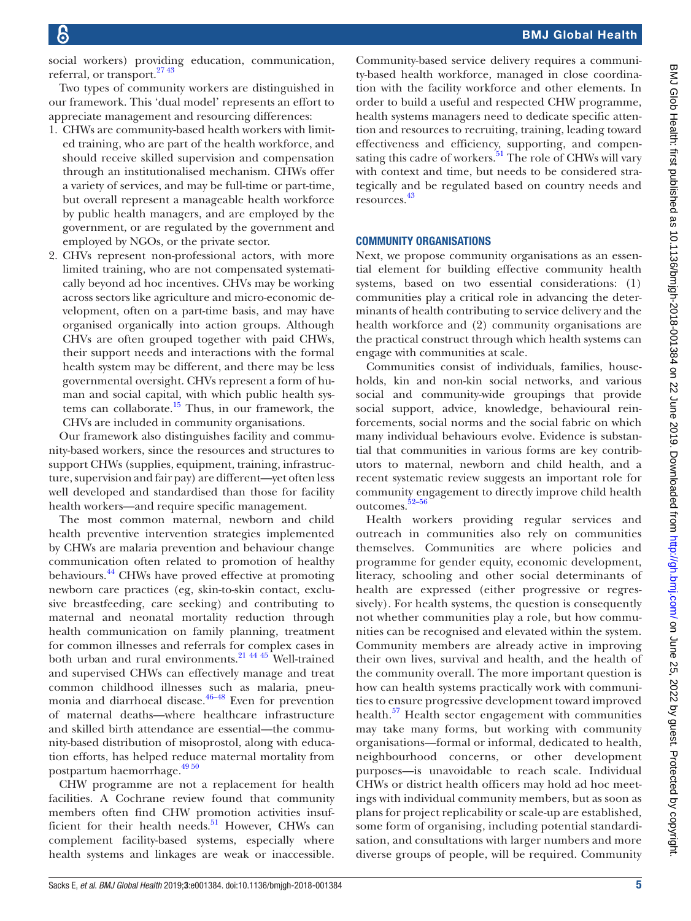social workers) providing education, communication, referral, or transport.[27 43](#page-9-20)

Two types of community workers are distinguished in our framework. This 'dual model' represents an effort to appreciate management and resourcing differences:

- 1. CHWs are community-based health workers with limited training, who are part of the health workforce, and should receive skilled supervision and compensation through an institutionalised mechanism. CHWs offer a variety of services, and may be full-time or part-time, but overall represent a manageable health workforce by public health managers, and are employed by the government, or are regulated by the government and employed by NGOs, or the private sector.
- 2. CHVs represent non-professional actors, with more limited training, who are not compensated systematically beyond ad hoc incentives. CHVs may be working across sectors like agriculture and micro-economic development, often on a part-time basis, and may have organised organically into action groups. Although CHVs are often grouped together with paid CHWs, their support needs and interactions with the formal health system may be different, and there may be less governmental oversight. CHVs represent a form of human and social capital, with which public health systems can collaborate.<sup>15</sup> Thus, in our framework, the CHVs are included in community organisations.

Our framework also distinguishes facility and community-based workers, since the resources and structures to support CHWs (supplies, equipment, training, infrastructure, supervision and fair pay) are different—yet often less well developed and standardised than those for facility health workers—and require specific management.

The most common maternal, newborn and child health preventive intervention strategies implemented by CHWs are malaria prevention and behaviour change communication often related to promotion of healthy behaviours[.44](#page-10-6) CHWs have proved effective at promoting newborn care practices (eg, skin-to-skin contact, exclusive breastfeeding, care seeking) and contributing to maternal and neonatal mortality reduction through health communication on family planning, treatment for common illnesses and referrals for complex cases in both urban and rural environments. $^{21}$ <sup>44 45</sup> Well-trained and supervised CHWs can effectively manage and treat common childhood illnesses such as malaria, pneumonia and diarrhoeal disease. $46-48$  Even for prevention of maternal deaths—where healthcare infrastructure and skilled birth attendance are essential—the community-based distribution of misoprostol, along with education efforts, has helped reduce maternal mortality from postpartum haemorrhage[.49 50](#page-10-8)

CHW programme are not a replacement for health facilities. A Cochrane review found that community members often find CHW promotion activities insuf-ficient for their health needs.<sup>[51](#page-10-9)</sup> However, CHWs can complement facility-based systems, especially where health systems and linkages are weak or inaccessible.

Community-based service delivery requires a community-based health workforce, managed in close coordination with the facility workforce and other elements. In order to build a useful and respected CHW programme, health systems managers need to dedicate specific attention and resources to recruiting, training, leading toward effectiveness and efficiency, supporting, and compen-sating this cadre of workers.<sup>[51](#page-10-9)</sup> The role of CHWs will vary with context and time, but needs to be considered strategically and be regulated based on country needs and resources. [43](#page-10-10)

# Community organisations

Next, we propose community organisations as an essential element for building effective community health systems, based on two essential considerations: (1) communities play a critical role in advancing the determinants of health contributing to service delivery and the health workforce and (2) community organisations are the practical construct through which health systems can engage with communities at scale.

Communities consist of individuals, families, households, kin and non-kin social networks, and various social and community-wide groupings that provide social support, advice, knowledge, behavioural reinforcements, social norms and the social fabric on which many individual behaviours evolve. Evidence is substantial that communities in various forms are key contributors to maternal, newborn and child health, and a recent systematic review suggests an important role for community engagement to directly improve child health outcomes.<sup>52–56</sup>

Health workers providing regular services and outreach in communities also rely on communities themselves. Communities are where policies and programme for gender equity, economic development, literacy, schooling and other social determinants of health are expressed (either progressive or regressively). For health systems, the question is consequently not whether communities play a role, but how communities can be recognised and elevated within the system. Community members are already active in improving their own lives, survival and health, and the health of the community overall. The more important question is how can health systems practically work with communities to ensure progressive development toward improved health.<sup>[57](#page-10-12)</sup> Health sector engagement with communities may take many forms, but working with community organisations—formal or informal, dedicated to health, neighbourhood concerns, or other development purposes—is unavoidable to reach scale. Individual CHWs or district health officers may hold ad hoc meetings with individual community members, but as soon as plans for project replicability or scale-up are established, some form of organising, including potential standardisation, and consultations with larger numbers and more diverse groups of people, will be required. Community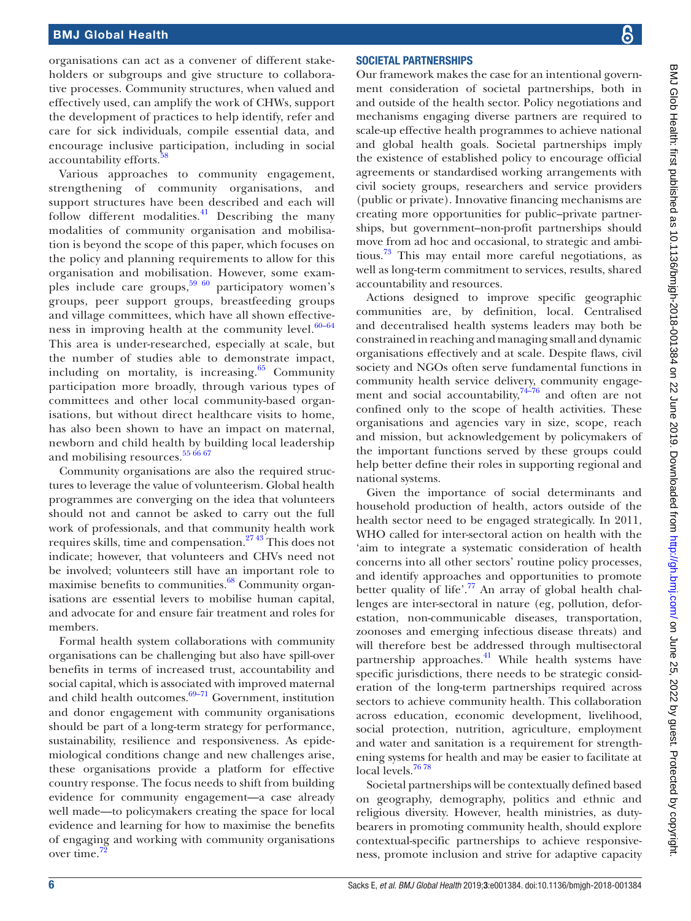organisations can act as a convener of different stakeholders or subgroups and give structure to collaborative processes. Community structures, when valued and effectively used, can amplify the work of CHWs, support the development of practices to help identify, refer and care for sick individuals, compile essential data, and encourage inclusive participation, including in social accountability efforts.<sup>5</sup>

Various approaches to community engagement, strengthening of community organisations, and support structures have been described and each will follow different modalities. $41$  Describing the many modalities of community organisation and mobilisation is beyond the scope of this paper, which focuses on the policy and planning requirements to allow for this organisation and mobilisation. However, some examples include care groups,<sup>59 60</sup> participatory women's groups, peer support groups, breastfeeding groups and village committees, which have all shown effectiveness in improving health at the community level. $60-64$ This area is under-researched, especially at scale, but the number of studies able to demonstrate impact, including on mortality, is increasing. $65$  Community participation more broadly, through various types of committees and other local community-based organisations, but without direct healthcare visits to home, has also been shown to have an impact on maternal, newborn and child health by building local leadership and mobilising resources.<sup>[55 66 67](#page-10-17)</sup>

Community organisations are also the required structures to leverage the value of volunteerism. Global health programmes are converging on the idea that volunteers should not and cannot be asked to carry out the full work of professionals, and that community health work requires skills, time and compensation.[27 43](#page-9-20) This does not indicate; however, that volunteers and CHVs need not be involved; volunteers still have an important role to maximise benefits to communities.<sup>68</sup> Community organisations are essential levers to mobilise human capital, and advocate for and ensure fair treatment and roles for members.

Formal health system collaborations with community organisations can be challenging but also have spill-over benefits in terms of increased trust, accountability and social capital, which is associated with improved maternal and child health outcomes. $69-71$  Government, institution and donor engagement with community organisations should be part of a long-term strategy for performance, sustainability, resilience and responsiveness. As epidemiological conditions change and new challenges arise, these organisations provide a platform for effective country response. The focus needs to shift from building evidence for community engagement—a case already well made—to policymakers creating the space for local evidence and learning for how to maximise the benefits of engaging and working with community organisations over time.<sup>7</sup>

## Societal partnerships

Our framework makes the case for an intentional government consideration of societal partnerships, both in and outside of the health sector. Policy negotiations and mechanisms engaging diverse partners are required to scale-up effective health programmes to achieve national and global health goals. Societal partnerships imply the existence of established policy to encourage official agreements or standardised working arrangements with civil society groups, researchers and service providers (public or private). Innovative financing mechanisms are creating more opportunities for public–private partnerships, but government–non-profit partnerships should move from ad hoc and occasional, to strategic and ambitious.[73](#page-11-0) This may entail more careful negotiations, as well as long-term commitment to services, results, shared accountability and resources.

Actions designed to improve specific geographic communities are, by definition, local. Centralised and decentralised health systems leaders may both be constrained in reaching and managing small and dynamic organisations effectively and at scale. Despite flaws, civil society and NGOs often serve fundamental functions in community health service delivery, community engagement and social accountability,  $74-76$  and often are not confined only to the scope of health activities. These organisations and agencies vary in size, scope, reach and mission, but acknowledgement by policymakers of the important functions served by these groups could help better define their roles in supporting regional and national systems.

Given the importance of social determinants and household production of health, actors outside of the health sector need to be engaged strategically. In 2011, WHO called for inter-sectoral action on health with the 'aim to integrate a systematic consideration of health concerns into all other sectors' routine policy processes, and identify approaches and opportunities to promote better quality of life'. $\frac{77}{10}$  An array of global health challenges are inter-sectoral in nature (eg, pollution, deforestation, non-communicable diseases, transportation, zoonoses and emerging infectious disease threats) and will therefore best be addressed through multisectoral partnership approaches. $41$  While health systems have specific jurisdictions, there needs to be strategic consideration of the long-term partnerships required across sectors to achieve community health. This collaboration across education, economic development, livelihood, social protection, nutrition, agriculture, employment and water and sanitation is a requirement for strengthening systems for health and may be easier to facilitate at local levels.<sup>76</sup><sup>78</sup>

Societal partnerships will be contextually defined based on geography, demography, politics and ethnic and religious diversity. However, health ministries, as dutybearers in promoting community health, should explore contextual-specific partnerships to achieve responsiveness, promote inclusion and strive for adaptive capacity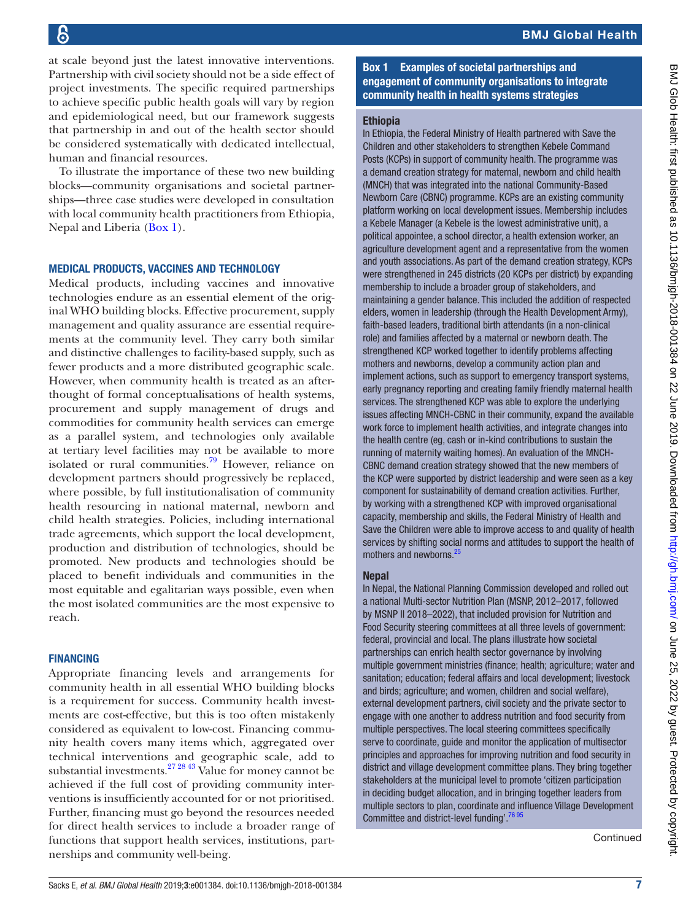at scale beyond just the latest innovative interventions. Partnership with civil society should not be a side effect of project investments. The specific required partnerships to achieve specific public health goals will vary by region and epidemiological need, but our framework suggests that partnership in and out of the health sector should be considered systematically with dedicated intellectual, human and financial resources.

To illustrate the importance of these two new building blocks—community organisations and societal partnerships—three case studies were developed in consultation with local community health practitioners from Ethiopia, Nepal and Liberia ([Box](#page-6-0) 1).

# Medical products, vaccines and technology

Medical products, including vaccines and innovative technologies endure as an essential element of the original WHO building blocks. Effective procurement, supply management and quality assurance are essential requirements at the community level. They carry both similar and distinctive challenges to facility-based supply, such as fewer products and a more distributed geographic scale. However, when community health is treated as an afterthought of formal conceptualisations of health systems, procurement and supply management of drugs and commodities for community health services can emerge as a parallel system, and technologies only available at tertiary level facilities may not be available to more isolated or rural communities.<sup>[79](#page-11-4)</sup> However, reliance on development partners should progressively be replaced, where possible, by full institutionalisation of community health resourcing in national maternal, newborn and child health strategies. Policies, including international trade agreements, which support the local development, production and distribution of technologies, should be promoted. New products and technologies should be placed to benefit individuals and communities in the most equitable and egalitarian ways possible, even when the most isolated communities are the most expensive to reach.

#### **FINANCING**

Appropriate financing levels and arrangements for community health in all essential WHO building blocks is a requirement for success. Community health investments are cost-effective, but this is too often mistakenly considered as equivalent to low-cost. Financing community health covers many items which, aggregated over technical interventions and geographic scale, add to substantial investments.<sup>27 28 43</sup> Value for money cannot be achieved if the full cost of providing community interventions is insufficiently accounted for or not prioritised. Further, financing must go beyond the resources needed for direct health services to include a broader range of functions that support health services, institutions, partnerships and community well-being.

Box 1 Examples of societal partnerships and engagement of community organisations to integrate community health in health systems strategies

## <span id="page-6-0"></span>Ethiopia

In Ethiopia, the Federal Ministry of Health partnered with Save the Children and other stakeholders to strengthen Kebele Command Posts (KCPs) in support of community health. The programme was a demand creation strategy for maternal, newborn and child health (MNCH) that was integrated into the national Community-Based Newborn Care (CBNC) programme. KCPs are an existing community platform working on local development issues. Membership includes a Kebele Manager (a Kebele is the lowest administrative unit), a political appointee, a school director, a health extension worker, an agriculture development agent and a representative from the women and youth associations. As part of the demand creation strategy, KCPs were strengthened in 245 districts (20 KCPs per district) by expanding membership to include a broader group of stakeholders, and maintaining a gender balance. This included the addition of respected elders, women in leadership (through the Health Development Army), faith-based leaders, traditional birth attendants (in a non-clinical role) and families affected by a maternal or newborn death. The strengthened KCP worked together to identify problems affecting mothers and newborns, develop a community action plan and implement actions, such as support to emergency transport systems, early pregnancy reporting and creating family friendly maternal health services. The strengthened KCP was able to explore the underlying issues affecting MNCH-CBNC in their community, expand the available work force to implement health activities, and integrate changes into the health centre (eg, cash or in-kind contributions to sustain the running of maternity waiting homes). An evaluation of the MNCH-CBNC demand creation strategy showed that the new members of the KCP were supported by district leadership and were seen as a key component for sustainability of demand creation activities. Further, by working with a strengthened KCP with improved organisational capacity, membership and skills, the Federal Ministry of Health and Save the Children were able to improve access to and quality of health services by shifting social norms and attitudes to support the health of mothers and newborns.<sup>[25](#page-9-18)</sup>

# **Nepal**

In Nepal, the National Planning Commission developed and rolled out a national Multi-sector Nutrition Plan (MSNP, 2012–2017, followed by MSNP II 2018–2022), that included provision for Nutrition and Food Security steering committees at all three levels of government: federal, provincial and local. The plans illustrate how societal partnerships can enrich health sector governance by involving multiple government ministries (finance; health; agriculture; water and sanitation; education; federal affairs and local development; livestock and birds; agriculture; and women, children and social welfare), external development partners, civil society and the private sector to engage with one another to address nutrition and food security from multiple perspectives. The local steering committees specifically serve to coordinate, guide and monitor the application of multisector principles and approaches for improving nutrition and food security in district and village development committee plans. They bring together stakeholders at the municipal level to promote 'citizen participation in deciding budget allocation, and in bringing together leaders from multiple sectors to plan, coordinate and influence Village Development Committee and district-level funding'.<sup>76 9</sup>

**Continued**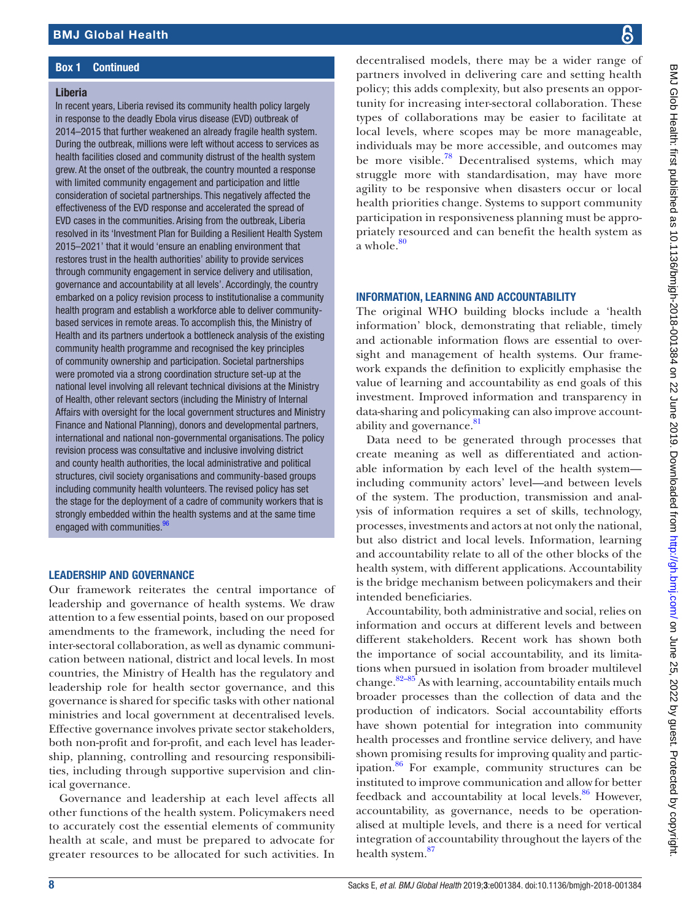# Box 1 Continued

#### Liberia

In recent years, Liberia revised its community health policy largely in response to the deadly Ebola virus disease (EVD) outbreak of 2014–2015 that further weakened an already fragile health system. During the outbreak, millions were left without access to services as health facilities closed and community distrust of the health system grew. At the onset of the outbreak, the country mounted a response with limited community engagement and participation and little consideration of societal partnerships. This negatively affected the effectiveness of the EVD response and accelerated the spread of EVD cases in the communities. Arising from the outbreak, Liberia resolved in its 'Investment Plan for Building a Resilient Health System 2015–2021' that it would 'ensure an enabling environment that restores trust in the health authorities' ability to provide services through community engagement in service delivery and utilisation, governance and accountability at all levels'. Accordingly, the country embarked on a policy revision process to institutionalise a community health program and establish a workforce able to deliver communitybased services in remote areas. To accomplish this, the Ministry of Health and its partners undertook a bottleneck analysis of the existing community health programme and recognised the key principles of community ownership and participation. Societal partnerships were promoted via a strong coordination structure set-up at the national level involving all relevant technical divisions at the Ministry of Health, other relevant sectors (including the Ministry of Internal Affairs with oversight for the local government structures and Ministry Finance and National Planning), donors and developmental partners, international and national non-governmental organisations. The policy revision process was consultative and inclusive involving district and county health authorities, the local administrative and political structures, civil society organisations and community-based groups including community health volunteers. The revised policy has set the stage for the deployment of a cadre of community workers that is strongly embedded within the health systems and at the same time engaged with communities.<sup>96</sup>

#### Leadership and governance

Our framework reiterates the central importance of leadership and governance of health systems. We draw attention to a few essential points, based on our proposed amendments to the framework, including the need for inter-sectoral collaboration, as well as dynamic communication between national, district and local levels. In most countries, the Ministry of Health has the regulatory and leadership role for health sector governance, and this governance is shared for specific tasks with other national ministries and local government at decentralised levels. Effective governance involves private sector stakeholders, both non-profit and for-profit, and each level has leadership, planning, controlling and resourcing responsibilities, including through supportive supervision and clinical governance.

Governance and leadership at each level affects all other functions of the health system. Policymakers need to accurately cost the essential elements of community health at scale, and must be prepared to advocate for greater resources to be allocated for such activities. In

decentralised models, there may be a wider range of partners involved in delivering care and setting health policy; this adds complexity, but also presents an opportunity for increasing inter-sectoral collaboration. These types of collaborations may be easier to facilitate at local levels, where scopes may be more manageable, individuals may be more accessible, and outcomes may be more visible.<sup>[78](#page-11-6)</sup> Decentralised systems, which may struggle more with standardisation, may have more agility to be responsive when disasters occur or local health priorities change. Systems to support community participation in responsiveness planning must be appropriately resourced and can benefit the health system as a whole. $80$ 

#### Information, learning and accountability

The original WHO building blocks include a 'health information' block, demonstrating that reliable, timely and actionable information flows are essential to oversight and management of health systems. Our framework expands the definition to explicitly emphasise the value of learning and accountability as end goals of this investment. Improved information and transparency in data-sharing and policymaking can also improve accountability and governance.<sup>81</sup>

Data need to be generated through processes that create meaning as well as differentiated and actionable information by each level of the health system including community actors' level—and between levels of the system. The production, transmission and analysis of information requires a set of skills, technology, processes, investments and actors at not only the national, but also district and local levels. Information, learning and accountability relate to all of the other blocks of the health system, with different applications. Accountability is the bridge mechanism between policymakers and their intended beneficiaries.

Accountability, both administrative and social, relies on information and occurs at different levels and between different stakeholders. Recent work has shown both the importance of social accountability, and its limitations when pursued in isolation from broader multilevel change. $82-85$  As with learning, accountability entails much broader processes than the collection of data and the production of indicators. Social accountability efforts have shown potential for integration into community health processes and frontline service delivery, and have shown promising results for improving quality and participation.<sup>86</sup> For example, community structures can be instituted to improve communication and allow for better feedback and accountability at local levels.<sup>86</sup> However, accountability, as governance, needs to be operationalised at multiple levels, and there is a need for vertical integration of accountability throughout the layers of the health system.<sup>[87](#page-11-11)</sup>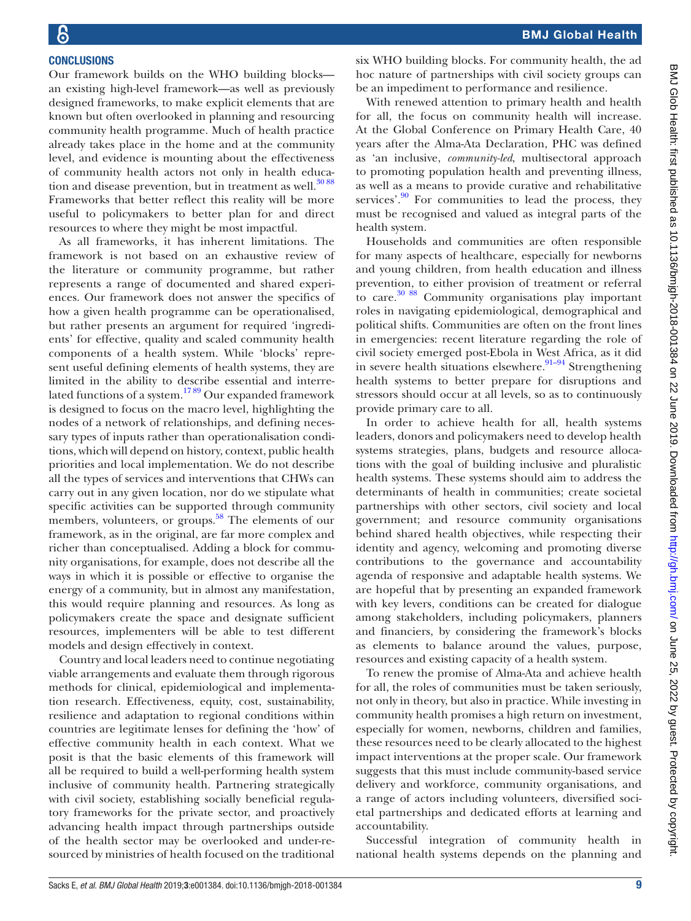## **CONCLUSIONS**

Our framework builds on the WHO building blocks an existing high-level framework—as well as previously designed frameworks, to make explicit elements that are known but often overlooked in planning and resourcing community health programme. Much of health practice already takes place in the home and at the community level, and evidence is mounting about the effectiveness of community health actors not only in health education and disease prevention, but in treatment as well. $30\,88$ Frameworks that better reflect this reality will be more useful to policymakers to better plan for and direct resources to where they might be most impactful.

As all frameworks, it has inherent limitations. The framework is not based on an exhaustive review of the literature or community programme, but rather represents a range of documented and shared experiences. Our framework does not answer the specifics of how a given health programme can be operationalised, but rather presents an argument for required 'ingredients' for effective, quality and scaled community health components of a health system. While 'blocks' represent useful defining elements of health systems, they are limited in the ability to describe essential and interrelated functions of a system.<sup>1789</sup> Our expanded framework is designed to focus on the macro level, highlighting the nodes of a network of relationships, and defining necessary types of inputs rather than operationalisation conditions, which will depend on history, context, public health priorities and local implementation. We do not describe all the types of services and interventions that CHWs can carry out in any given location, nor do we stipulate what specific activities can be supported through community members, volunteers, or groups.<sup>58</sup> The elements of our framework, as in the original, are far more complex and richer than conceptualised. Adding a block for community organisations, for example, does not describe all the ways in which it is possible or effective to organise the energy of a community, but in almost any manifestation, this would require planning and resources. As long as policymakers create the space and designate sufficient resources, implementers will be able to test different models and design effectively in context.

Country and local leaders need to continue negotiating viable arrangements and evaluate them through rigorous methods for clinical, epidemiological and implementation research. Effectiveness, equity, cost, sustainability, resilience and adaptation to regional conditions within countries are legitimate lenses for defining the 'how' of effective community health in each context. What we posit is that the basic elements of this framework will all be required to build a well-performing health system inclusive of community health. Partnering strategically with civil society, establishing socially beneficial regulatory frameworks for the private sector, and proactively advancing health impact through partnerships outside of the health sector may be overlooked and under-resourced by ministries of health focused on the traditional

six WHO building blocks. For community health, the ad hoc nature of partnerships with civil society groups can be an impediment to performance and resilience.

With renewed attention to primary health and health for all, the focus on community health will increase. At the Global Conference on Primary Health Care, 40 years after the Alma-Ata Declaration, PHC was defined as 'an inclusive, *community-led*, multisectoral approach to promoting population health and preventing illness, as well as a means to provide curative and rehabilitative services'. $90$  For communities to lead the process, they must be recognised and valued as integral parts of the health system.

Households and communities are often responsible for many aspects of healthcare, especially for newborns and young children, from health education and illness prevention, to either provision of treatment or referral to care[.30 88](#page-10-0) Community organisations play important roles in navigating epidemiological, demographical and political shifts. Communities are often on the front lines in emergencies: recent literature regarding the role of civil society emerged post-Ebola in West Africa, as it did in severe health situations elsewhere.<sup>91–94</sup> Strengthening health systems to better prepare for disruptions and stressors should occur at all levels, so as to continuously provide primary care to all.

In order to achieve health for all, health systems leaders, donors and policymakers need to develop health systems strategies, plans, budgets and resource allocations with the goal of building inclusive and pluralistic health systems. These systems should aim to address the determinants of health in communities; create societal partnerships with other sectors, civil society and local government; and resource community organisations behind shared health objectives, while respecting their identity and agency, welcoming and promoting diverse contributions to the governance and accountability agenda of responsive and adaptable health systems. We are hopeful that by presenting an expanded framework with key levers, conditions can be created for dialogue among stakeholders, including policymakers, planners and financiers, by considering the framework's blocks as elements to balance around the values, purpose, resources and existing capacity of a health system.

To renew the promise of Alma-Ata and achieve health for all, the roles of communities must be taken seriously, not only in theory, but also in practice. While investing in community health promises a high return on investment, especially for women, newborns, children and families, these resources need to be clearly allocated to the highest impact interventions at the proper scale. Our framework suggests that this must include community-based service delivery and workforce, community organisations, and a range of actors including volunteers, diversified societal partnerships and dedicated efforts at learning and accountability.

Successful integration of community health in national health systems depends on the planning and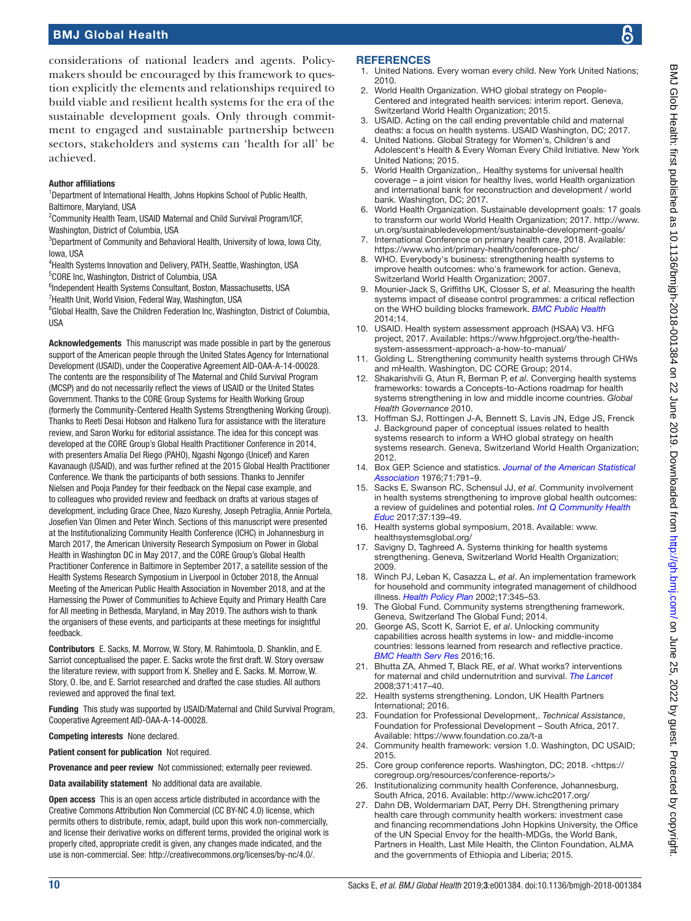# BMJ Global Health

considerations of national leaders and agents. Policymakers should be encouraged by this framework to question explicitly the elements and relationships required to build viable and resilient health systems for the era of the sustainable development goals. Only through commitment to engaged and sustainable partnership between sectors, stakeholders and systems can 'health for all' be achieved.

#### Author affiliations

<sup>1</sup>Department of International Health, Johns Hopkins School of Public Health, Baltimore, Maryland, USA

<sup>2</sup> Community Health Team, USAID Maternal and Child Survival Program/ICF, Washington, District of Columbia, USA

 ${}^{3}$ Department of Community and Behavioral Health, University of Iowa, Iowa City, Iowa, USA

4 Health Systems Innovation and Delivery, PATH, Seattle, Washington, USA 5 CORE Inc, Washington, District of Columbia, USA

6 Independent Health Systems Consultant, Boston, Massachusetts, USA

<sup>7</sup>Health Unit, World Vision, Federal Way, Washington, USA

<sup>8</sup>Global Health, Save the Children Federation Inc, Washington, District of Columbia, USA

Acknowledgements This manuscript was made possible in part by the generous support of the American people through the United States Agency for International Development (USAID), under the Cooperative Agreement AID-OAA-A-14-00028. The contents are the responsibility of The Maternal and Child Survival Program (MCSP) and do not necessarily reflect the views of USAID or the United States Government. Thanks to the CORE Group Systems for Health Working Group (formerly the Community-Centered Health Systems Strengthening Working Group). Thanks to Reeti Desai Hobson and Halkeno Tura for assistance with the literature review, and Saron Worku for editorial assistance. The idea for this concept was developed at the CORE Group's Global Health Practitioner Conference in 2014, with presenters Amalia Del Riego (PAHO), Ngashi Ngongo (Unicef) and Karen Kavanaugh (USAID), and was further refined at the 2015 Global Health Practitioner Conference. We thank the participants of both sessions. Thanks to Jennifer Nielsen and Pooja Pandey for their feedback on the Nepal case example, and to colleagues who provided review and feedback on drafts at various stages of development, including Grace Chee, Nazo Kureshy, Joseph Petraglia, Annie Portela, Josefien Van Olmen and Peter Winch. Sections of this manuscript were presented at the Institutionalizing Community Health Conference (ICHC) in Johannesburg in March 2017, the American University Research Symposium on Power in Global Health in Washington DC in May 2017, and the CORE Group's Global Health Practitioner Conference in Baltimore in September 2017, a satellite session of the Health Systems Research Symposium in Liverpool in October 2018, the Annual Meeting of the American Public Health Association in November 2018, and at the Harnessing the Power of Communities to Achieve Equity and Primary Health Care for All meeting in Bethesda, Maryland, in May 2019. The authors wish to thank the organisers of these events, and participants at these meetings for insightful feedback.

Contributors E. Sacks, M. Morrow, W. Story, M. Rahimtoola, D. Shanklin, and E. Sarriot conceptualised the paper. E. Sacks wrote the first draft. W. Story oversaw the literature review, with support from K. Shelley and E. Sacks. M. Morrow, W. Story, O. Ibe, and E. Sarriot researched and drafted the case studies. All authors reviewed and approved the final text.

Funding This study was supported by USAID/Maternal and Child Survival Program, Cooperative Agreement AID-OAA-A-14-00028.

Competing interests None declared.

Patient consent for publication Not required.

Provenance and peer review Not commissioned; externally peer reviewed.

Data availability statement No additional data are available.

Open access This is an open access article distributed in accordance with the Creative Commons Attribution Non Commercial (CC BY-NC 4.0) license, which permits others to distribute, remix, adapt, build upon this work non-commercially, and license their derivative works on different terms, provided the original work is properly cited, appropriate credit is given, any changes made indicated, and the use is non-commercial. See: [http://creativecommons.org/licenses/by-nc/4.0/.](http://creativecommons.org/licenses/by-nc/4.0/)

#### **REFERENCES**

- <span id="page-9-0"></span>1. United Nations. Every woman every child. New York United Nations; 2010.
- <span id="page-9-15"></span>2. World Health Organization. WHO global strategy on People-Centered and integrated health services: interim report. Geneva, Switzerland World Health Organization; 2015.
- <span id="page-9-19"></span>USAID. Acting on the call ending preventable child and maternal deaths: a focus on health systems. USAID Washington, DC; 2017.
- <span id="page-9-1"></span>4. United Nations. Global Strategy for Women's, Children's and Adolescent's Health & Every Woman Every Child Initiative. New York United Nations; 2015.
- 5. World Health Organization,. Healthy systems for universal health coverage – a joint vision for healthy lives, world Health organization and international bank for reconstruction and development / world bank. Washington, DC; 2017.
- <span id="page-9-22"></span>6. World Health Organization. Sustainable development goals: 17 goals to transform our world World Health Organization; 2017. [http://www.](http://www.un.org/sustainabledevelopment/sustainable-development-goals/) [un.org/sustainabledevelopment/sustainable-development-goals/](http://www.un.org/sustainabledevelopment/sustainable-development-goals/)
- <span id="page-9-2"></span>7. International Conference on primary health care, 2018. Available: <https://www.who.int/primary-health/conference-phc/>
- <span id="page-9-3"></span>8. WHO. Everybody's business: strengthening health systems to improve health outcomes: who's framework for action. Geneva, Switzerland World Health Organization; 2007.
- <span id="page-9-9"></span>9. Mounier-Jack S, Griffiths UK, Closser S, *et al*. Measuring the health systems impact of disease control programmes: a critical reflection on the WHO building blocks framework. *[BMC Public Health](http://dx.doi.org/10.1186/1471-2458-14-278)* 2014;14.
- 10. USAID. Health system assessment approach (HSAA) V3. HFG project, 2017. Available: [https://www.hfgproject.org/the-health](https://www.hfgproject.org/the-health-system-assessment-approach-a-how-to-manual/)[system-assessment-approach-a-how-to-manual/](https://www.hfgproject.org/the-health-system-assessment-approach-a-how-to-manual/)
- <span id="page-9-11"></span>11. Golding L. Strengthening community health systems through CHWs and mHealth. Washington, DC CORE Group; 2014.
- <span id="page-9-4"></span>12. Shakarishvili G, Atun R, Berman P, *et al*. Converging health systems frameworks: towards a Concepts-to-Actions roadmap for health systems strengthening in low and middle income countries. *Global Health Governance* 2010.
- <span id="page-9-5"></span>13. Hoffman SJ, Rottingen J-A, Bennett S, Lavis JN, Edge JS, Frenck J. Background paper of conceptual issues related to health systems research to inform a WHO global strategy on health systems research. Geneva, Switzerland World Health Organization; 2012.
- <span id="page-9-6"></span>14. Box GEP. Science and statistics. *[Journal of the American Statistical](http://dx.doi.org/10.1080/01621459.1976.10480949)  [Association](http://dx.doi.org/10.1080/01621459.1976.10480949)* 1976;71:791–9.
- <span id="page-9-7"></span>15. Sacks E, Swanson RC, Schensul JJ, *et al*. Community involvement in health systems strengthening to improve global health outcomes: a review of guidelines and potential roles. *[Int Q Community Health](http://dx.doi.org/10.1177/0272684X17738089)  [Educ](http://dx.doi.org/10.1177/0272684X17738089)* 2017;37:139–49.
- <span id="page-9-8"></span>16. Health systems global symposium, 2018. Available: [www.](www.healthsystemsglobal.org/) [healthsystemsglobal.org/](www.healthsystemsglobal.org/)
- <span id="page-9-10"></span>17. Savigny D, Taghreed A. Systems thinking for health systems strengthening. Geneva, Switzerland World Health Organization; 2009.
- <span id="page-9-12"></span>18. Winch PJ, Leban K, Casazza L, *et al*. An implementation framework for household and community integrated management of childhood illness. *[Health Policy Plan](http://dx.doi.org/10.1093/heapol/17.4.345)* 2002;17:345–53.
- <span id="page-9-13"></span>19. The Global Fund. Community systems strengthening framework. Geneva, Switzerland The Global Fund; 2014.
- <span id="page-9-14"></span>20. George AS, Scott K, Sarriot E, *et al*. Unlocking community capabilities across health systems in low- and middle-income countries: lessons learned from research and reflective practice. *[BMC Health Serv Res](http://dx.doi.org/10.1186/s12913-016-1859-7)* 2016;16.
- <span id="page-9-21"></span>21. Bhutta ZA, Ahmed T, Black RE, *et al*. What works? interventions for maternal and child undernutrition and survival. *[The Lancet](http://dx.doi.org/10.1016/S0140-6736(07)61693-6)* 2008;371:417–40.
- <span id="page-9-16"></span>22. Health systems strengthening. London, UK Health Partners International; 2016.
- 23. Foundation for Professional Development,. *Technical Assistance*, Foundation for Professional Development – South Africa, 2017. Available:<https://www.foundation.co.za/t-a>
- <span id="page-9-17"></span>24. Community health framework: version 1.0. Washington, DC USAID; 2015.
- <span id="page-9-18"></span>25. Core group conference reports. Washington, DC; 2018. [<https://](<https://coregroup.org/resources/conference-reports/>) [coregroup.org/resources/conference-reports/>](<https://coregroup.org/resources/conference-reports/>)
- 26. Institutionalizing community health Conference, Johannesburg, South Africa, 2016. Available:<http://www.ichc2017.org/>
- <span id="page-9-20"></span>27. Dahn DB, Woldermariam DAT, Perry DH. Strengthening primary health care through community health workers: investment case and financing recommendations John Hopkins University, the Office of the UN Special Envoy for the health-MDGs, the World Bank, Partners in Health, Last Mile Health, the Clinton Foundation, ALMA and the governments of Ethiopia and Liberia; 2015.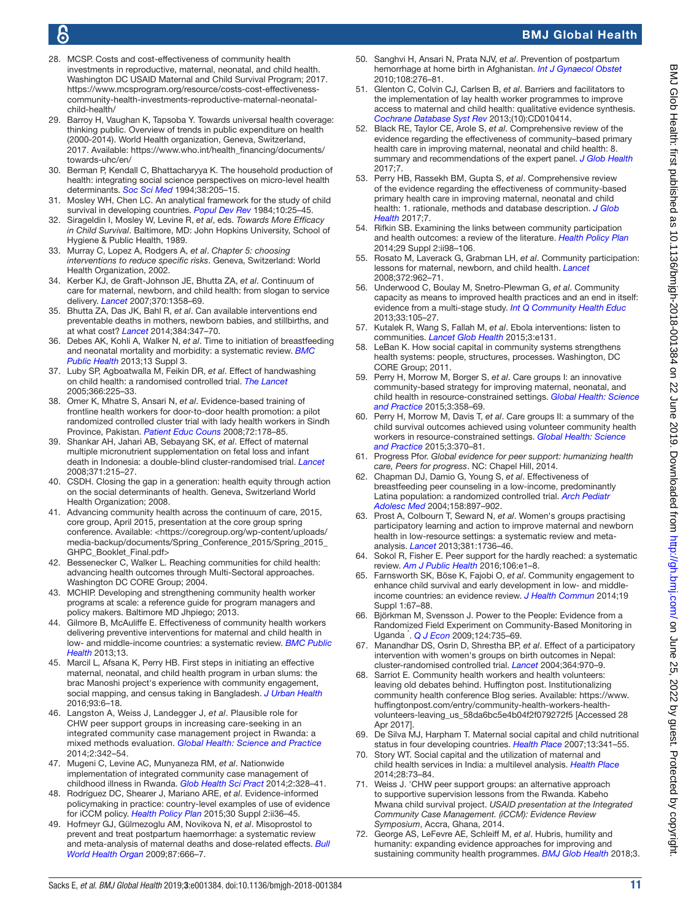# BMJ Global Health

- 28. MCSP. Costs and cost-effectiveness of community health investments in reproductive, maternal, neonatal, and child health. Washington DC USAID Maternal and Child Survival Program; 2017. [https://www.mcsprogram.org/resource/costs-cost-effectiveness](https://www.mcsprogram.org/resource/costs-cost-effectiveness-community-health-investments-reproductive-maternal-neonatal-child-health/)[community-health-investments-reproductive-maternal-neonatal](https://www.mcsprogram.org/resource/costs-cost-effectiveness-community-health-investments-reproductive-maternal-neonatal-child-health/)[child-health/](https://www.mcsprogram.org/resource/costs-cost-effectiveness-community-health-investments-reproductive-maternal-neonatal-child-health/)
- 29. Barroy H, Vaughan K, Tapsoba Y. Towards universal health coverage: thinking public. Overview of trends in public expenditure on health (2000-2014). World Health organization, Geneva, Switzerland, 2017. Available: [https://www.who.int/health\\_financing/documents/](https://www.who.int/health_financing/documents/towards-uhc/en/) [towards-uhc/en/](https://www.who.int/health_financing/documents/towards-uhc/en/)
- <span id="page-10-0"></span>30. Berman P, Kendall C, Bhattacharyya K. The household production of health: integrating social science perspectives on micro-level health determinants. *[Soc Sci Med](http://dx.doi.org/10.1016/0277-9536(94)90390-5)* 1994;38:205–15.
- <span id="page-10-1"></span>31. Mosley WH, Chen LC. An analytical framework for the study of child survival in developing countries. *[Popul Dev Rev](http://dx.doi.org/10.2307/2807954)* 1984;10:25–45.
- 32. Sirageldin I, Mosley W, Levine R, *et al*, eds. *Towards More Efficacy in Child Survival*. Baltimore, MD: John Hopkins University, School of Hygiene & Public Health, 1989.
- <span id="page-10-2"></span>33. Murray C, Lopez A, Rodgers A, *et al*. *Chapter 5: choosing interventions to reduce specific risks*. Geneva, Switzerland: World Health Organization, 2002.
- <span id="page-10-3"></span>34. Kerber KJ, de Graft-Johnson JE, Bhutta ZA, *et al*. Continuum of care for maternal, newborn, and child health: from slogan to service delivery. *[Lancet](http://dx.doi.org/10.1016/S0140-6736(07)61578-5)* 2007;370:1358–69.
- 35. Bhutta ZA, Das JK, Bahl R, *et al*. Can available interventions end preventable deaths in mothers, newborn babies, and stillbirths, and at what cost? *[Lancet](http://dx.doi.org/10.1016/S0140-6736(14)60792-3)* 2014;384:347–70.
- 36. Debes AK, Kohli A, Walker N, *et al*. Time to initiation of breastfeeding and neonatal mortality and morbidity: a systematic review. *[BMC](http://dx.doi.org/10.1186/1471-2458-13-S3-S19)  [Public Health](http://dx.doi.org/10.1186/1471-2458-13-S3-S19)* 2013;13 Suppl 3.
- 37. Luby SP, Agboatwalla M, Feikin DR, *et al*. Effect of handwashing on child health: a randomised controlled trial. *[The Lancet](http://dx.doi.org/10.1016/S0140-6736(05)66912-7)* 2005;366:225–33.
- 38. Omer K, Mhatre S, Ansari N, *et al*. Evidence-based training of frontline health workers for door-to-door health promotion: a pilot randomized controlled cluster trial with lady health workers in Sindh Province, Pakistan. *[Patient Educ Couns](http://dx.doi.org/10.1016/j.pec.2008.02.018)* 2008;72:178–85.
- 39. Shankar AH, Jahari AB, Sebayang SK, *et al*. Effect of maternal multiple micronutrient supplementation on fetal loss and infant death in Indonesia: a double-blind cluster-randomised trial. *[Lancet](http://dx.doi.org/10.1016/S0140-6736(08)60133-6)* 2008;371:215–27.
- <span id="page-10-4"></span>40. CSDH. Closing the gap in a generation: health equity through action on the social determinants of health. Geneva, Switzerland World Health Organization; 2008.
- <span id="page-10-5"></span>41. Advancing community health across the continuum of care, 2015, core group, April 2015, presentation at the core group spring conference. Available: [<https://coregroup.org/wp-content/uploads/](<https://coregroup.org/wp-content/uploads/media-backup/documents/Spring_Conference_2015/Spring_2015_GHPC_Booklet_Final.pdf>) [media-backup/documents/Spring\\_Conference\\_2015/Spring\\_2015\\_](<https://coregroup.org/wp-content/uploads/media-backup/documents/Spring_Conference_2015/Spring_2015_GHPC_Booklet_Final.pdf>) [GHPC\\_Booklet\\_Final.pdf>](<https://coregroup.org/wp-content/uploads/media-backup/documents/Spring_Conference_2015/Spring_2015_GHPC_Booklet_Final.pdf>)
- 42. Bessenecker C, Walker L. Reaching communities for child health: advancing health outcomes through Multi-Sectoral approaches. Washington DC CORE Group; 2004.
- <span id="page-10-10"></span>43. MCHIP. Developing and strengthening community health worker programs at scale: a reference guide for program managers and policy makers. Baltimore MD Jhpiego; 2013.
- <span id="page-10-6"></span>44. Gilmore B, McAuliffe E. Effectiveness of community health workers delivering preventive interventions for maternal and child health in low- and middle-income countries: a systematic review. *[BMC Public](http://dx.doi.org/10.1186/1471-2458-13-847)  [Health](http://dx.doi.org/10.1186/1471-2458-13-847)* 2013;13.
- 45. Marcil L, Afsana K, Perry HB. First steps in initiating an effective maternal, neonatal, and child health program in urban slums: the brac Manoshi project's experience with community engagement, social mapping, and census taking in Bangladesh. *[J Urban Health](http://dx.doi.org/10.1007/s11524-016-0026-0)* 2016;93:6–18.
- <span id="page-10-7"></span>46. Langston A, Weiss J, Landegger J, *et al*. Plausible role for CHW peer support groups in increasing care-seeking in an integrated community case management project in Rwanda: a mixed methods evaluation. *[Global Health: Science and Practice](http://dx.doi.org/10.9745/GHSP-D-14-00067)* 2014;2:342–54.
- 47. Mugeni C, Levine AC, Munyaneza RM, *et al*. Nationwide implementation of integrated community case management of childhood illness in Rwanda. *[Glob Health Sci Pract](http://dx.doi.org/10.9745/GHSP-D-14-00080)* 2014;2:328–41.
- 48. Rodríguez DC, Shearer J, Mariano ARE, *et al*. Evidence-informed policymaking in practice: country-level examples of use of evidence for iCCM policy. *[Health Policy Plan](http://dx.doi.org/10.1093/heapol/czv033)* 2015;30 Suppl 2:ii36–45.
- <span id="page-10-8"></span>49. Hofmeyr GJ, Gülmezoglu AM, Novikova N, *et al*. Misoprostol to prevent and treat postpartum haemorrhage: a systematic review and meta-analysis of maternal deaths and dose-related effects. *[Bull](http://dx.doi.org/10.2471/BLT.08.055715)  [World Health Organ](http://dx.doi.org/10.2471/BLT.08.055715)* 2009;87:666–7.
- 50. Sanghvi H, Ansari N, Prata NJV, *et al*. Prevention of postpartum hemorrhage at home birth in Afghanistan. *[Int J Gynaecol Obstet](http://dx.doi.org/10.1016/j.ijgo.2009.12.003)* 2010;108:276–81.
- <span id="page-10-9"></span>51. Glenton C, Colvin CJ, Carlsen B, *et al*. Barriers and facilitators to the implementation of lay health worker programmes to improve access to maternal and child health: qualitative evidence synthesis. *[Cochrane Database Syst Rev](http://dx.doi.org/10.1002/14651858.CD010414.pub2)* 2013;(10):CD010414.
- <span id="page-10-11"></span>52. Black RE, Taylor CE, Arole S, *et al*. Comprehensive review of the evidence regarding the effectiveness of community–based primary health care in improving maternal, neonatal and child health: 8. summary and recommendations of the expert panel. *[J Glob Health](http://dx.doi.org/10.7189/jogh.07.010908)* 2017;7.
- 53. Perry HB, Rassekh BM, Gupta S, *et al*. Comprehensive review of the evidence regarding the effectiveness of community-based primary health care in improving maternal, neonatal and child health: 1. rationale, methods and database description. *[J Glob](http://dx.doi.org/10.7189/jogh.07.010901)  [Health](http://dx.doi.org/10.7189/jogh.07.010901)* 2017;7.
- 54. Rifkin SB. Examining the links between community participation and health outcomes: a review of the literature. *[Health Policy Plan](http://dx.doi.org/10.1093/heapol/czu076)* 2014;29 Suppl 2:ii98–106.
- <span id="page-10-17"></span>55. Rosato M, Laverack G, Grabman LH, *et al*. Community participation: lessons for maternal, newborn, and child health. *[Lancet](http://dx.doi.org/10.1016/S0140-6736(08)61406-3)* 2008;372:962–71.
- 56. Underwood C, Boulay M, Snetro-Plewman G, *et al*. Community capacity as means to improved health practices and an end in itself: evidence from a multi-stage study. *[Int Q Community Health Educ](http://dx.doi.org/10.2190/IQ.33.2.b)* 2013;33:105–27.
- <span id="page-10-12"></span>57. Kutalek R, Wang S, Fallah M, *et al*. Ebola interventions: listen to communities. *[Lancet Glob Health](http://dx.doi.org/10.1016/S2214-109X(15)70010-0)* 2015;3:e131.
- <span id="page-10-13"></span>58. LeBan K. How social capital in community systems strengthens health systems: people, structures, processes. Washington, DC CORE Group; 2011.
- <span id="page-10-14"></span>59. Perry H, Morrow M, Borger S, *et al*. Care groups I: an innovative community-based strategy for improving maternal, neonatal, and child health in resource-constrained settings. *[Global Health: Science](http://dx.doi.org/10.9745/GHSP-D-15-00051)  [and Practice](http://dx.doi.org/10.9745/GHSP-D-15-00051)* 2015;3:358–69.
- <span id="page-10-15"></span>60. Perry H, Morrow M, Davis T, *et al*. Care groups II: a summary of the child survival outcomes achieved using volunteer community health workers in resource-constrained settings. *[Global Health: Science](http://dx.doi.org/10.9745/GHSP-D-15-00052)  [and Practice](http://dx.doi.org/10.9745/GHSP-D-15-00052)* 2015;3:370–81.
- 61. Progress Pfor. *Global evidence for peer support: humanizing health care, Peers for progress*. NC: Chapel Hill, 2014.
- 62. Chapman DJ, Damio G, Young S, *et al*. Effectiveness of breastfeeding peer counseling in a low-income, predominantly Latina population: a randomized controlled trial. *[Arch Pediatr](http://dx.doi.org/10.1001/archpedi.158.9.897)  [Adolesc Med](http://dx.doi.org/10.1001/archpedi.158.9.897)* 2004;158:897–902.
- 63. Prost A, Colbourn T, Seward N, *et al*. Women's groups practising participatory learning and action to improve maternal and newborn health in low-resource settings: a systematic review and metaanalysis. *[Lancet](http://dx.doi.org/10.1016/S0140-6736(13)60685-6)* 2013;381:1736–46.
- 64. Sokol R, Fisher E. Peer support for the hardly reached: a systematic review. *[Am J Public Health](http://dx.doi.org/10.2105/AJPH.2016.303180)* 2016;106:e1–8.
- <span id="page-10-16"></span>65. Farnsworth SK, Böse K, Fajobi O, *et al*. Community engagement to enhance child survival and early development in low- and middleincome countries: an evidence review. *[J Health Commun](http://dx.doi.org/10.1080/10810730.2014.941519)* 2014;19 Suppl 1:67–88.
- 66. Björkman M, Svensson J. Power to the People: Evidence from a Randomized Field Experiment on Community-Based Monitoring in Uganda \* . *[Q J Econ](http://dx.doi.org/10.1162/qjec.2009.124.2.735)* 2009;124:735–69.
- 67. Manandhar DS, Osrin D, Shrestha BP, *et al*. Effect of a participatory intervention with women's groups on birth outcomes in Nepal: cluster-randomised controlled trial. *[Lancet](http://dx.doi.org/10.1016/S0140-6736(04)17021-9)* 2004;364:970–9.
- <span id="page-10-18"></span>68. Sarriot E. Community health workers and health volunteers: leaving old debates behind. Huffington post. Institutionalizing community health conference Blog series. Available: [https://www.](https://www.huffingtonpost.com/entry/community-health-workers-health-volunteers-leaving_us_58da6bc5e4b04f2f079272f5) [huffingtonpost.com/entry/community-health-workers-health](https://www.huffingtonpost.com/entry/community-health-workers-health-volunteers-leaving_us_58da6bc5e4b04f2f079272f5)[volunteers-leaving\\_us\\_58da6bc5e4b04f2f079272f5](https://www.huffingtonpost.com/entry/community-health-workers-health-volunteers-leaving_us_58da6bc5e4b04f2f079272f5) [Accessed 28 Apr 2017].
- <span id="page-10-19"></span>69. De Silva MJ, Harpham T. Maternal social capital and child nutritional status in four developing countries. *[Health Place](http://dx.doi.org/10.1016/j.healthplace.2006.02.005)* 2007;13:341–55.
- 70. Story WT. Social capital and the utilization of maternal and child health services in India: a multilevel analysis. *[Health Place](http://dx.doi.org/10.1016/j.healthplace.2014.03.011)* 2014;28:73–84.
- 71. Weiss J. 'CHW peer support groups: an alternative approach to supportive supervision lessons from the Rwanda. Kabeho Mwana child survival project. *USAID presentation at the Integrated Community Case Management. (iCCM): Evidence Review Symposium*, Accra, Ghana, 2014.
- <span id="page-10-20"></span>72. George AS, LeFevre AE, Schleiff M, *et al*. Hubris, humility and humanity: expanding evidence approaches for improving and sustaining community health programmes. *[BMJ Glob Health](http://dx.doi.org/10.1136/bmjgh-2018-000811)* 2018;3.